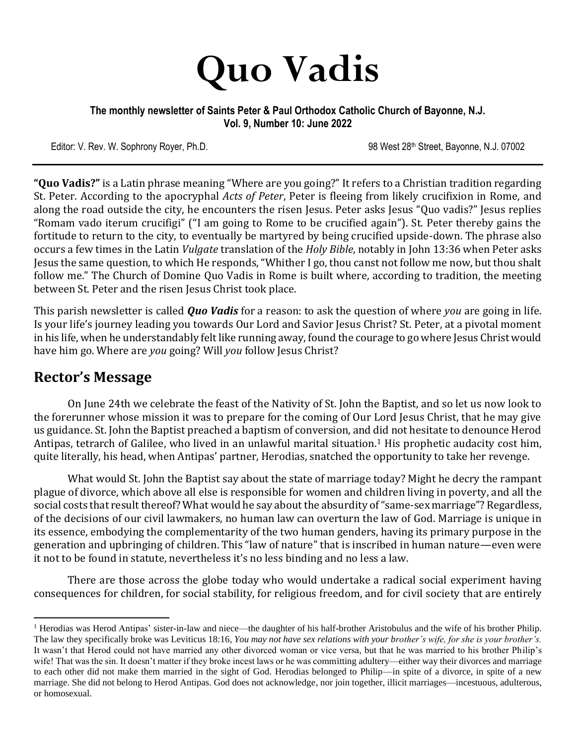

#### **The monthly newsletter of Saints Peter & Paul Orthodox Catholic Church of Bayonne, N.J. Vol. 9, Number 10: June 2022**

Editor: V. Rev. W. Sophrony Royer, Ph.D. 98 West 28th Street, Bayonne, N.J. 07002

**"Quo Vadis?"** is a Latin phrase meaning "Where are you going?" It refers to a Christian tradition regarding St. Peter. According to the apocryphal *Acts of Peter*, Peter is fleeing from likely crucifixion in Rome, and along the road outside the city, he encounters the risen Jesus. Peter asks Jesus "Quo vadis?" Jesus replies "Romam vado iterum crucifigi" ("I am going to Rome to be crucified again"). St. Peter thereby gains the fortitude to return to the city, to eventually be martyred by being crucified upside-down. The phrase also occurs a few times in the Latin *Vulgate* translation of the *Holy Bible*, notably in John 13:36 when Peter asks Jesus the same question, to which He responds, "Whither I go, thou canst not follow me now, but thou shalt follow me." The Church of Domine Quo Vadis in Rome is built where, according to tradition, the meeting between St. Peter and the risen Jesus Christ took place.

This parish newsletter is called *Quo Vadis* for a reason: to ask the question of where *you* are going in life. Is your life's journey leading you towards Our Lord and Savior Jesus Christ? St. Peter, at a pivotal moment in his life, when he understandably felt like running away, found the courage to go where Jesus Christ would have him go. Where are *you* going? Will *you* follow Jesus Christ?

## **Rector's Message**

On June 24th we celebrate the feast of the Nativity of St. John the Baptist, and so let us now look to the forerunner whose mission it was to prepare for the coming of Our Lord Jesus Christ, that he may give us guidance. St. John the Baptist preached a baptism of conversion, and did not hesitate to denounce Herod Antipas, tetrarch of Galilee, who lived in an unlawful marital situation.<sup>1</sup> His prophetic audacity cost him, quite literally, his head, when Antipas' partner, Herodias, snatched the opportunity to take her revenge.

What would St. John the Baptist say about the state of marriage today? Might he decry the rampant plague of divorce, which above all else is responsible for women and children living in poverty, and all the social costs that result thereof? What would he say about the absurdity of "same-sex marriage"? Regardless, of the decisions of our civil lawmakers, no human law can overturn the law of God. Marriage is unique in its essence, embodying the complementarity of the two human genders, having its primary purpose in the generation and upbringing of children. This "law of nature" that is inscribed in human nature—even were it not to be found in statute, nevertheless it's no less binding and no less a law.

There are those across the globe today who would undertake a radical social experiment having consequences for children, for social stability, for religious freedom, and for civil society that are entirely

<sup>&</sup>lt;sup>1</sup> Herodias was Herod Antipas' sister-in-law and niece—the daughter of his half-brother Aristobulus and the wife of his brother Philip. The law they specifically broke was Leviticus 18:16, *You may not have sex relations with your brother's wife, for she is your brother's.* It wasn't that Herod could not have married any other divorced woman or vice versa, but that he was married to his brother Philip's wife! That was the sin. It doesn't matter if they broke incest laws or he was committing adultery—either way their divorces and marriage to each other did not make them married in the sight of God. Herodias belonged to Philip—in spite of a divorce, in spite of a new marriage. She did not belong to Herod Antipas. God does not acknowledge, nor join together, illicit marriages—incestuous, adulterous, or homosexual.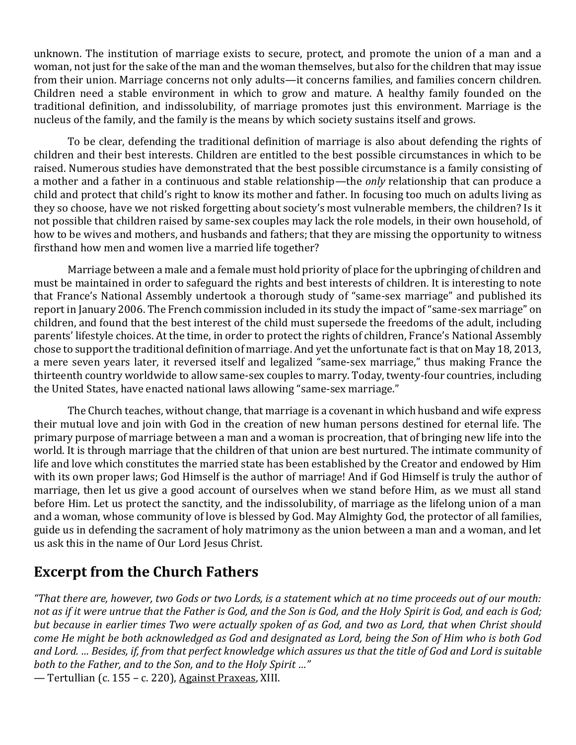unknown. The institution of marriage exists to secure, protect, and promote the union of a man and a woman, not just for the sake of the man and the woman themselves, but also for the children that may issue from their union. Marriage concerns not only adults—it concerns families, and families concern children. Children need a stable environment in which to grow and mature. A healthy family founded on the traditional definition, and indissolubility, of marriage promotes just this environment. Marriage is the nucleus of the family, and the family is the means by which society sustains itself and grows.

To be clear, defending the traditional definition of marriage is also about defending the rights of children and their best interests. Children are entitled to the best possible circumstances in which to be raised. Numerous studies have demonstrated that the best possible circumstance is a family consisting of a mother and a father in a continuous and stable relationship—the *only* relationship that can produce a child and protect that child's right to know its mother and father. In focusing too much on adults living as they so choose, have we not risked forgetting about society's most vulnerable members, the children? Is it not possible that children raised by same-sex couples may lack the role models, in their own household, of how to be wives and mothers, and husbands and fathers; that they are missing the opportunity to witness firsthand how men and women live a married life together?

Marriage between a male and a female must hold priority of place for the upbringing of children and must be maintained in order to safeguard the rights and best interests of children. It is interesting to note that France's National Assembly undertook a thorough study of "same-sex marriage" and published its report in January 2006. The French commission included in its study the impact of "same-sex marriage" on children, and found that the best interest of the child must supersede the freedoms of the adult, including parents' lifestyle choices. At the time, in order to protect the rights of children, France's National Assembly chose to support the traditional definition of marriage. And yet the unfortunate fact is that on May 18, 2013, a mere seven years later, it reversed itself and legalized "same-sex marriage," thus making France the thirteenth country worldwide to allow same-sex couples to marry. Today, twenty-four countries, including the United States, have enacted national laws allowing "same-sex marriage."

The Church teaches, without change, that marriage is a covenant in which husband and wife express their mutual love and join with God in the creation of new human persons destined for eternal life. The primary purpose of marriage between a man and a woman is procreation, that of bringing new life into the world. It is through marriage that the children of that union are best nurtured. The intimate community of life and love which constitutes the married state has been established by the Creator and endowed by Him with its own proper laws; God Himself is the author of marriage! And if God Himself is truly the author of marriage, then let us give a good account of ourselves when we stand before Him, as we must all stand before Him. Let us protect the sanctity, and the indissolubility, of marriage as the lifelong union of a man and a woman, whose community of love is blessed by God. May Almighty God, the protector of all families, guide us in defending the sacrament of holy matrimony as the union between a man and a woman, and let us ask this in the name of Our Lord Jesus Christ.

## **Excerpt from the Church Fathers**

*"That there are, however, two Gods or two Lords, is a statement which at no time proceeds out of our mouth: not as if it were untrue that the Father is God, and the Son is God, and the Holy Spirit is God, and each is God; but because in earlier times Two were actually spoken of as God, and two as Lord, that when Christ should come He might be both acknowledged as God and designated as Lord, being the Son of Him who is both God and Lord. … Besides, if, from that perfect knowledge which assures us that the title of God and Lord is suitable both to the Father, and to the Son, and to the Holy Spirit …"*

— Tertullian (c. 155 – c. 220), Against Praxeas, XIII.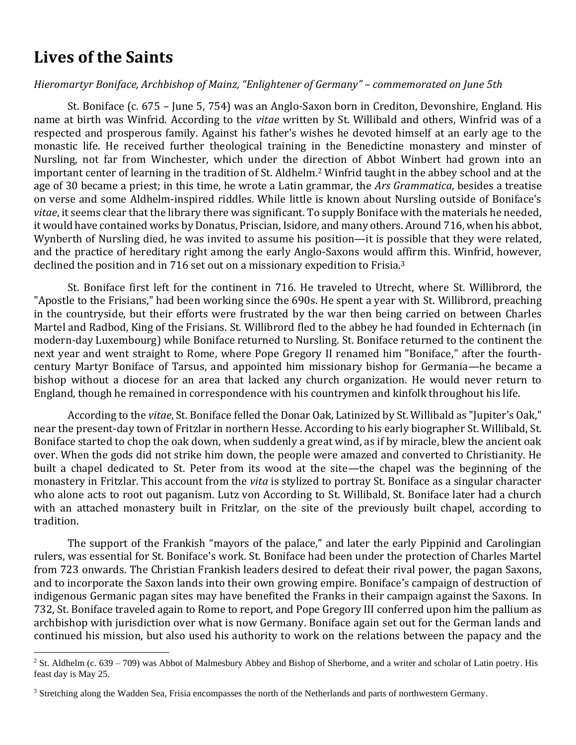# **Lives of the Saints**

#### *Hieromartyr Boniface, Archbishop of Mainz, "Enlightener of Germany" – commemorated on June 5th*

St. Boniface (c. 675 – June 5, 754) was an Anglo-Saxon born in Crediton, Devonshire, England. His name at birth was Winfrid. According to the *vitae* written by St. Willibald and others, Winfrid was of a respected and prosperous family. Against his father's wishes he devoted himself at an early age to the monastic life. He received further theological training in the Benedictine monastery and minster of Nursling, not far from Winchester, which under the direction of Abbot Winbert had grown into an important center of learning in the tradition of St. Aldhelm.<sup>2</sup> Winfrid taught in the abbey school and at the age of 30 became a priest; in this time, he wrote a Latin grammar, the *Ars Grammatica*, besides a treatise on verse and some Aldhelm-inspired riddles. While little is known about Nursling outside of Boniface's *vitae*, it seems clear that the library there was significant. To supply Boniface with the materials he needed, it would have contained works by Donatus, Priscian, Isidore, and many others. Around 716, when his abbot, Wynberth of Nursling died, he was invited to assume his position—it is possible that they were related, and the practice of hereditary right among the early Anglo-Saxons would affirm this. Winfrid, however, declined the position and in 716 set out on a missionary expedition to Frisia.<sup>3</sup>

St. Boniface first left for the continent in 716. He traveled to Utrecht, where St. Willibrord, the "Apostle to the Frisians," had been working since the 690s. He spent a year with St. Willibrord, preaching in the countryside, but their efforts were frustrated by the war then being carried on between Charles Martel and Radbod, King of the Frisians. St. Willibrord fled to the abbey he had founded in Echternach (in modern-day Luxembourg) while Boniface returned to Nursling. St. Boniface returned to the continent the next year and went straight to Rome, where Pope Gregory II renamed him "Boniface," after the fourthcentury Martyr Boniface of Tarsus, and appointed him missionary bishop for Germania—he became a bishop without a diocese for an area that lacked any church organization. He would never return to England, though he remained in correspondence with his countrymen and kinfolk throughout his life.

According to the *vitae*, St. Boniface felled the Donar Oak, Latinized by St. Willibald as "Jupiter's Oak," near the present-day town of Fritzlar in northern Hesse. According to his early biographer St. Willibald, St. Boniface started to chop the oak down, when suddenly a great wind, as if by miracle, blew the ancient oak over. When the gods did not strike him down, the people were amazed and converted to Christianity. He built a chapel dedicated to St. Peter from its wood at the site—the chapel was the beginning of the monastery in Fritzlar. This account from the *vita* is stylized to portray St. Boniface as a singular character who alone acts to root out paganism. Lutz von According to St. Willibald, St. Boniface later had a church with an attached monastery built in Fritzlar, on the site of the previously built chapel, according to tradition.

The support of the Frankish "mayors of the palace," and later the early Pippinid and Carolingian rulers, was essential for St. Boniface's work. St. Boniface had been under the protection of Charles Martel from 723 onwards. The Christian Frankish leaders desired to defeat their rival power, the pagan Saxons, and to incorporate the Saxon lands into their own growing empire. Boniface's campaign of destruction of indigenous Germanic pagan sites may have benefited the Franks in their campaign against the Saxons. In 732, St. Boniface traveled again to Rome to report, and Pope Gregory III conferred upon him the pallium as archbishop with jurisdiction over what is now Germany. Boniface again set out for the German lands and continued his mission, but also used his authority to work on the relations between the papacy and the

 $2 S$ t. Aldhelm (c. 639 – 709) was Abbot of Malmesbury Abbey and Bishop of Sherborne, and a writer and scholar of Latin poetry. His feast day is May 25.

<sup>&</sup>lt;sup>3</sup> Stretching along the Wadden Sea, Frisia encompasses the north of the Netherlands and parts of northwestern Germany.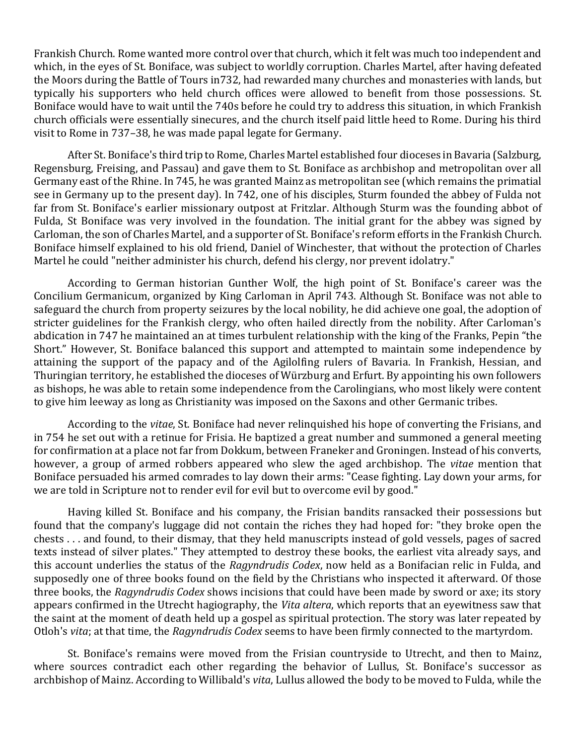Frankish Church. Rome wanted more control over that church, which it felt was much too independent and which, in the eyes of St. Boniface, was subject to worldly corruption. Charles Martel, after having defeated the Moors during the Battle of Tours in732, had rewarded many churches and monasteries with lands, but typically his supporters who held church offices were allowed to benefit from those possessions. St. Boniface would have to wait until the 740s before he could try to address this situation, in which Frankish church officials were essentially sinecures, and the church itself paid little heed to Rome. During his third visit to Rome in 737–38, he was made papal legate for Germany.

After St. Boniface's third trip to Rome, Charles Martel established four dioceses in Bavaria (Salzburg, Regensburg, Freising, and Passau) and gave them to St. Boniface as archbishop and metropolitan over all Germany east of the Rhine. In 745, he was granted Mainz as metropolitan see (which remains the primatial see in Germany up to the present day). In 742, one of his disciples, Sturm founded the abbey of Fulda not far from St. Boniface's earlier missionary outpost at Fritzlar. Although Sturm was the founding abbot of Fulda, St Boniface was very involved in the foundation. The initial grant for the abbey was signed by Carloman, the son of Charles Martel, and a supporter of St. Boniface's reform efforts in the Frankish Church. Boniface himself explained to his old friend, Daniel of Winchester, that without the protection of Charles Martel he could "neither administer his church, defend his clergy, nor prevent idolatry."

According to German historian Gunther Wolf, the high point of St. Boniface's career was the Concilium Germanicum, organized by King Carloman in April 743. Although St. Boniface was not able to safeguard the church from property seizures by the local nobility, he did achieve one goal, the adoption of stricter guidelines for the Frankish clergy, who often hailed directly from the nobility. After Carloman's abdication in 747 he maintained an at times turbulent relationship with the king of the Franks, Pepin "the Short." However, St. Boniface balanced this support and attempted to maintain some independence by attaining the support of the papacy and of the Agilolfing rulers of Bavaria. In Frankish, Hessian, and Thuringian territory, he established the dioceses of Würzburg and Erfurt. By appointing his own followers as bishops, he was able to retain some independence from the Carolingians, who most likely were content to give him leeway as long as Christianity was imposed on the Saxons and other Germanic tribes.

According to the *vitae*, St. Boniface had never relinquished his hope of converting the Frisians, and in 754 he set out with a retinue for Frisia. He baptized a great number and summoned a general meeting for confirmation at a place not far from Dokkum, between Franeker and Groningen. Instead of his converts, however, a group of armed robbers appeared who slew the aged archbishop. The *vitae* mention that Boniface persuaded his armed comrades to lay down their arms: "Cease fighting. Lay down your arms, for we are told in Scripture not to render evil for evil but to overcome evil by good."

Having killed St. Boniface and his company, the Frisian bandits ransacked their possessions but found that the company's luggage did not contain the riches they had hoped for: "they broke open the chests . . . and found, to their dismay, that they held manuscripts instead of gold vessels, pages of sacred texts instead of silver plates." They attempted to destroy these books, the earliest vita already says, and this account underlies the status of the *Ragyndrudis Codex*, now held as a Bonifacian relic in Fulda, and supposedly one of three books found on the field by the Christians who inspected it afterward. Of those three books, the *Ragyndrudis Codex* shows incisions that could have been made by sword or axe; its story appears confirmed in the Utrecht hagiography, the *Vita altera*, which reports that an eyewitness saw that the saint at the moment of death held up a gospel as spiritual protection. The story was later repeated by Otloh's *vita*; at that time, the *Ragyndrudis Codex* seems to have been firmly connected to the martyrdom.

St. Boniface's remains were moved from the Frisian countryside to Utrecht, and then to Mainz, where sources contradict each other regarding the behavior of Lullus, St. Boniface's successor as archbishop of Mainz. According to Willibald's *vita*, Lullus allowed the body to be moved to Fulda, while the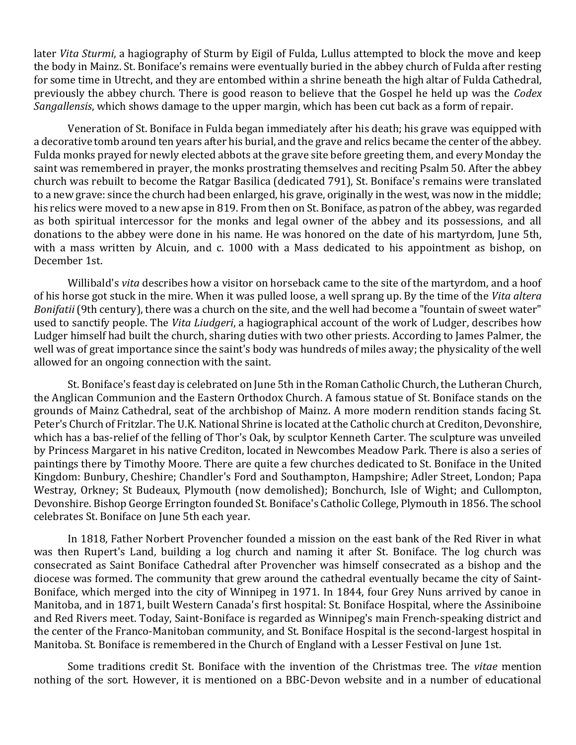later *Vita Sturmi*, a hagiography of Sturm by Eigil of Fulda, Lullus attempted to block the move and keep the body in Mainz. St. Boniface's remains were eventually buried in the abbey church of Fulda after resting for some time in Utrecht, and they are entombed within a shrine beneath the high altar of Fulda Cathedral, previously the abbey church. There is good reason to believe that the Gospel he held up was the *Codex Sangallensis*, which shows damage to the upper margin, which has been cut back as a form of repair.

Veneration of St. Boniface in Fulda began immediately after his death; his grave was equipped with a decorative tomb around ten years after his burial, and the grave and relics became the center of the abbey. Fulda monks prayed for newly elected abbots at the grave site before greeting them, and every Monday the saint was remembered in prayer, the monks prostrating themselves and reciting Psalm 50. After the abbey church was rebuilt to become the Ratgar Basilica (dedicated 791), St. Boniface's remains were translated to a new grave: since the church had been enlarged, his grave, originally in the west, was now in the middle; his relics were moved to a new apse in 819. From then on St. Boniface, as patron of the abbey, was regarded as both spiritual intercessor for the monks and legal owner of the abbey and its possessions, and all donations to the abbey were done in his name. He was honored on the date of his martyrdom, June 5th, with a mass written by Alcuin, and c. 1000 with a Mass dedicated to his appointment as bishop, on December 1st.

Willibald's *vita* describes how a visitor on horseback came to the site of the martyrdom, and a hoof of his horse got stuck in the mire. When it was pulled loose, a well sprang up. By the time of the *Vita altera Bonifatii* (9th century), there was a church on the site, and the well had become a "fountain of sweet water" used to sanctify people. The *Vita Liudgeri*, a hagiographical account of the work of Ludger, describes how Ludger himself had built the church, sharing duties with two other priests. According to James Palmer, the well was of great importance since the saint's body was hundreds of miles away; the physicality of the well allowed for an ongoing connection with the saint.

St. Boniface's feast day is celebrated on June 5th in the Roman Catholic Church, the Lutheran Church, the Anglican Communion and the Eastern Orthodox Church. A famous statue of St. Boniface stands on the grounds of Mainz Cathedral, seat of the archbishop of Mainz. A more modern rendition stands facing St. Peter's Church of Fritzlar. The U.K. National Shrine is located at the Catholic church at Crediton, Devonshire, which has a bas-relief of the felling of Thor's Oak, by sculptor Kenneth Carter. The sculpture was unveiled by Princess Margaret in his native Crediton, located in Newcombes Meadow Park. There is also a series of paintings there by Timothy Moore. There are quite a few churches dedicated to St. Boniface in the United Kingdom: Bunbury, Cheshire; Chandler's Ford and Southampton, Hampshire; Adler Street, London; Papa Westray, Orkney; St Budeaux, Plymouth (now demolished); Bonchurch, Isle of Wight; and Cullompton, Devonshire. Bishop George Errington founded St. Boniface's Catholic College, Plymouth in 1856. The school celebrates St. Boniface on June 5th each year.

In 1818, Father Norbert Provencher founded a mission on the east bank of the Red River in what was then Rupert's Land, building a log church and naming it after St. Boniface. The log church was consecrated as Saint Boniface Cathedral after Provencher was himself consecrated as a bishop and the diocese was formed. The community that grew around the cathedral eventually became the city of Saint-Boniface, which merged into the city of Winnipeg in 1971. In 1844, four Grey Nuns arrived by canoe in Manitoba, and in 1871, built Western Canada's first hospital: St. Boniface Hospital, where the Assiniboine and Red Rivers meet. Today, Saint-Boniface is regarded as Winnipeg's main French-speaking district and the center of the Franco-Manitoban community, and St. Boniface Hospital is the second-largest hospital in Manitoba. St. Boniface is remembered in the Church of England with a Lesser Festival on June 1st.

Some traditions credit St. Boniface with the invention of the Christmas tree. The *vitae* mention nothing of the sort. However, it is mentioned on a BBC-Devon website and in a number of educational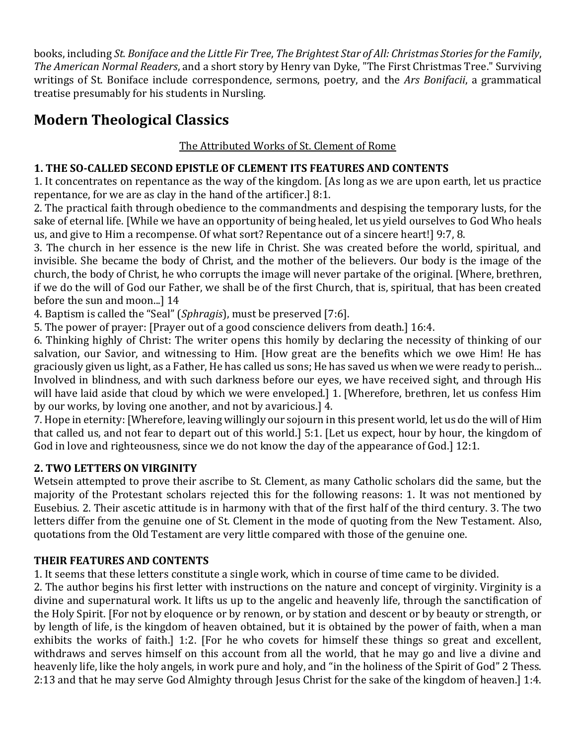books, including *St. Boniface and the Little Fir Tree*, *The Brightest Star of All: Christmas Stories for the Family*, *The American Normal Readers*, and a short story by Henry van Dyke, "The First Christmas Tree." Surviving writings of St. Boniface include correspondence, sermons, poetry, and the *Ars Bonifacii*, a grammatical treatise presumably for his students in Nursling.

# **Modern Theological Classics**

### The Attributed Works of St. Clement of Rome

### **1. THE SO-CALLED SECOND EPISTLE OF CLEMENT ITS FEATURES AND CONTENTS**

1. It concentrates on repentance as the way of the kingdom. [As long as we are upon earth, let us practice repentance, for we are as clay in the hand of the artificer.] 8:1.

2. The practical faith through obedience to the commandments and despising the temporary lusts, for the sake of eternal life. [While we have an opportunity of being healed, let us yield ourselves to God Who heals us, and give to Him a recompense. Of what sort? Repentance out of a sincere heart!] 9:7, 8.

3. The church in her essence is the new life in Christ. She was created before the world, spiritual, and invisible. She became the body of Christ, and the mother of the believers. Our body is the image of the church, the body of Christ, he who corrupts the image will never partake of the original. [Where, brethren, if we do the will of God our Father, we shall be of the first Church, that is, spiritual, that has been created before the sun and moon...] 14

4. Baptism is called the "Seal" (*Sphragis*), must be preserved [7:6].

5. The power of prayer: [Prayer out of a good conscience delivers from death.] 16:4.

6. Thinking highly of Christ: The writer opens this homily by declaring the necessity of thinking of our salvation, our Savior, and witnessing to Him. [How great are the benefits which we owe Him! He has graciously given us light, as a Father, He has called us sons; He has saved us when we were ready to perish... Involved in blindness, and with such darkness before our eyes, we have received sight, and through His will have laid aside that cloud by which we were enveloped.] 1. [Wherefore, brethren, let us confess Him by our works, by loving one another, and not by avaricious.] 4.

7. Hope in eternity: [Wherefore, leaving willingly our sojourn in this present world, let us do the will of Him that called us, and not fear to depart out of this world.] 5:1. [Let us expect, hour by hour, the kingdom of God in love and righteousness, since we do not know the day of the appearance of God.] 12:1.

### **2. TWO LETTERS ON VIRGINITY**

Wetsein attempted to prove their ascribe to St. Clement, as many Catholic scholars did the same, but the majority of the Protestant scholars rejected this for the following reasons: 1. It was not mentioned by Eusebius. 2. Their ascetic attitude is in harmony with that of the first half of the third century. 3. The two letters differ from the genuine one of St. Clement in the mode of quoting from the New Testament. Also, quotations from the Old Testament are very little compared with those of the genuine one.

### **THEIR FEATURES AND CONTENTS**

1. It seems that these letters constitute a single work, which in course of time came to be divided.

2. The author begins his first letter with instructions on the nature and concept of virginity. Virginity is a divine and supernatural work. It lifts us up to the angelic and heavenly life, through the sanctification of the Holy Spirit. [For not by eloquence or by renown, or by station and descent or by beauty or strength, or by length of life, is the kingdom of heaven obtained, but it is obtained by the power of faith, when a man exhibits the works of faith.] 1:2. [For he who covets for himself these things so great and excellent, withdraws and serves himself on this account from all the world, that he may go and live a divine and heavenly life, like the holy angels, in work pure and holy, and "in the holiness of the Spirit of God" 2 Thess. 2:13 and that he may serve God Almighty through Jesus Christ for the sake of the kingdom of heaven.] 1:4.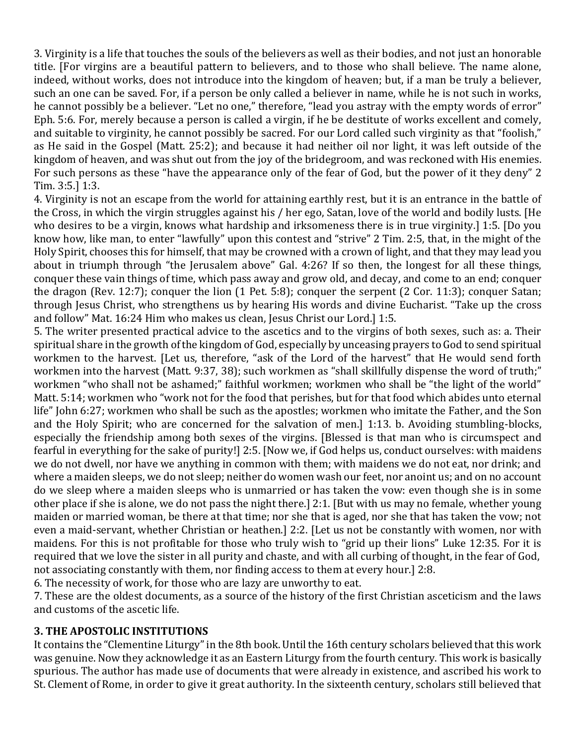3. Virginity is a life that touches the souls of the believers as well as their bodies, and not just an honorable title. [For virgins are a beautiful pattern to believers, and to those who shall believe. The name alone, indeed, without works, does not introduce into the kingdom of heaven; but, if a man be truly a believer, such an one can be saved. For, if a person be only called a believer in name, while he is not such in works, he cannot possibly be a believer. "Let no one," therefore, "lead you astray with the empty words of error" Eph. 5:6. For, merely because a person is called a virgin, if he be destitute of works excellent and comely, and suitable to virginity, he cannot possibly be sacred. For our Lord called such virginity as that "foolish," as He said in the Gospel (Matt. 25:2); and because it had neither oil nor light, it was left outside of the kingdom of heaven, and was shut out from the joy of the bridegroom, and was reckoned with His enemies. For such persons as these "have the appearance only of the fear of God, but the power of it they deny" 2 Tim. 3:5.] 1:3.

4. Virginity is not an escape from the world for attaining earthly rest, but it is an entrance in the battle of the Cross, in which the virgin struggles against his / her ego, Satan, love of the world and bodily lusts. [He who desires to be a virgin, knows what hardship and irksomeness there is in true virginity.] 1:5. [Do you know how, like man, to enter "lawfully" upon this contest and "strive" 2 Tim. 2:5, that, in the might of the Holy Spirit, chooses this for himself, that may be crowned with a crown of light, and that they may lead you about in triumph through "the Jerusalem above" Gal. 4:26? If so then, the longest for all these things, conquer these vain things of time, which pass away and grow old, and decay, and come to an end; conquer the dragon (Rev. 12:7); conquer the lion (1 Pet. 5:8); conquer the serpent (2 Cor. 11:3); conquer Satan; through Jesus Christ, who strengthens us by hearing His words and divine Eucharist. "Take up the cross and follow" Mat. 16:24 Him who makes us clean, Jesus Christ our Lord.] 1:5.

5. The writer presented practical advice to the ascetics and to the virgins of both sexes, such as: a. Their spiritual share in the growth of the kingdom of God, especially by unceasing prayers to God to send spiritual workmen to the harvest. [Let us, therefore, "ask of the Lord of the harvest" that He would send forth workmen into the harvest (Matt. 9:37, 38); such workmen as "shall skillfully dispense the word of truth;" workmen "who shall not be ashamed;" faithful workmen; workmen who shall be "the light of the world" Matt. 5:14; workmen who "work not for the food that perishes, but for that food which abides unto eternal life" John 6:27; workmen who shall be such as the apostles; workmen who imitate the Father, and the Son and the Holy Spirit; who are concerned for the salvation of men.] 1:13. b. Avoiding stumbling-blocks, especially the friendship among both sexes of the virgins. [Blessed is that man who is circumspect and fearful in everything for the sake of purity!] 2:5. [Now we, if God helps us, conduct ourselves: with maidens we do not dwell, nor have we anything in common with them; with maidens we do not eat, nor drink; and where a maiden sleeps, we do not sleep; neither do women wash our feet, nor anoint us; and on no account do we sleep where a maiden sleeps who is unmarried or has taken the vow: even though she is in some other place if she is alone, we do not pass the night there.] 2:1. [But with us may no female, whether young maiden or married woman, be there at that time; nor she that is aged, nor she that has taken the vow; not even a maid-servant, whether Christian or heathen.] 2:2. [Let us not be constantly with women, nor with maidens. For this is not profitable for those who truly wish to "grid up their lions" Luke 12:35. For it is required that we love the sister in all purity and chaste, and with all curbing of thought, in the fear of God, not associating constantly with them, nor finding access to them at every hour.] 2:8.

6. The necessity of work, for those who are lazy are unworthy to eat.

7. These are the oldest documents, as a source of the history of the first Christian asceticism and the laws and customs of the ascetic life.

#### **3. THE APOSTOLIC INSTITUTIONS**

It contains the "Clementine Liturgy" in the 8th book. Until the 16th century scholars believed that this work was genuine. Now they acknowledge it as an Eastern Liturgy from the fourth century. This work is basically spurious. The author has made use of documents that were already in existence, and ascribed his work to St. Clement of Rome, in order to give it great authority. In the sixteenth century, scholars still believed that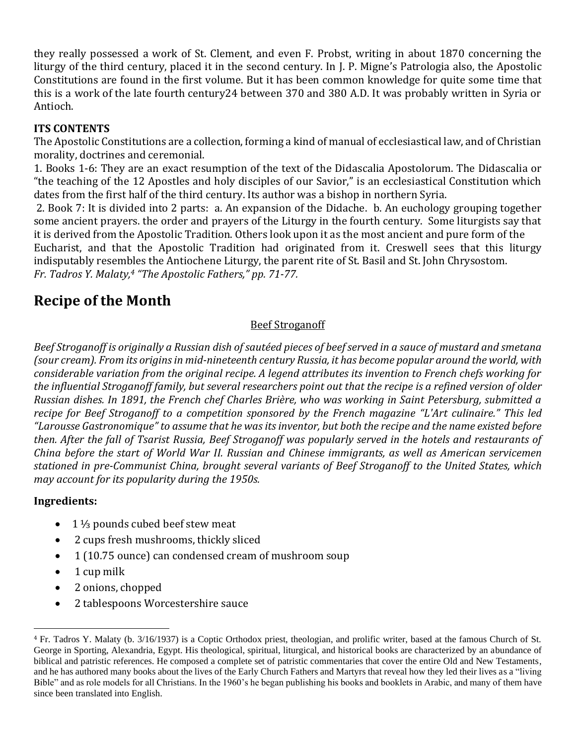they really possessed a work of St. Clement, and even F. Probst, writing in about 1870 concerning the liturgy of the third century, placed it in the second century. In J. P. Migne's Patrologia also, the Apostolic Constitutions are found in the first volume. But it has been common knowledge for quite some time that this is a work of the late fourth century24 between 370 and 380 A.D. It was probably written in Syria or Antioch.

### **ITS CONTENTS**

The Apostolic Constitutions are a collection, forming a kind of manual of ecclesiastical law, and of Christian morality, doctrines and ceremonial.

1. Books 1-6: They are an exact resumption of the text of the Didascalia Apostolorum. The Didascalia or "the teaching of the 12 Apostles and holy disciples of our Savior," is an ecclesiastical Constitution which dates from the first half of the third century. Its author was a bishop in northern Syria.

2. Book 7: It is divided into 2 parts: a. An expansion of the Didache. b. An euchology grouping together some ancient prayers. the order and prayers of the Liturgy in the fourth century. Some liturgists say that it is derived from the Apostolic Tradition. Others look upon it as the most ancient and pure form of the Eucharist, and that the Apostolic Tradition had originated from it. Creswell sees that this liturgy indisputably resembles the Antiochene Liturgy, the parent rite of St. Basil and St. John Chrysostom. *Fr. Tadros Y. Malaty,<sup>4</sup> "The Apostolic Fathers," pp. 71-77.*

## **Recipe of the Month**

### Beef Stroganoff

*Beef Stroganoff is originally a Russian dish of sautéed pieces of beef served in a sauce of mustard and smetana (sour cream). From its origins in mid-nineteenth century Russia, it has become popular around the world, with considerable variation from the original recipe. A legend attributes its invention to French chefs working for the influential Stroganoff family, but several researchers point out that the recipe is a refined version of older Russian dishes. In 1891, the French chef Charles Brière, who was working in Saint Petersburg, submitted a recipe for Beef Stroganoff to a competition sponsored by the French magazine "L'Art culinaire." This led "Larousse Gastronomique" to assume that he wasitsinventor, but both the recipe and the name existed before then. After the fall of Tsarist Russia, Beef Stroganoff was popularly served in the hotels and restaurants of China before the start of World War II. Russian and Chinese immigrants, as well as American servicemen stationed in pre-Communist China, brought several variants of Beef Stroganoff to the United States, which may account for its popularity during the 1950s.*

#### **Ingredients:**

- 1 ⅓ pounds cubed beef stew meat
- 2 cups fresh mushrooms, thickly sliced
- 1 (10.75 ounce) can condensed cream of mushroom soup
- $\bullet$  1 cup milk
- 2 onions, chopped
- 2 tablespoons Worcestershire sauce

<sup>4</sup> Fr. Tadros Y. Malaty (b. 3/16/1937) is a Coptic Orthodox priest, theologian, and prolific writer, based at the famous Church of St. George in Sporting, Alexandria, Egypt. His theological, spiritual, liturgical, and historical books are characterized by an abundance of biblical and patristic references. He composed a complete set of patristic commentaries that cover the entire Old and New Testaments, and he has authored many books about the lives of the Early Church Fathers and Martyrs that reveal how they led their lives as a "living Bible" and as role models for all Christians. In the 1960's he began publishing his books and booklets in Arabic, and many of them have since been translated into English.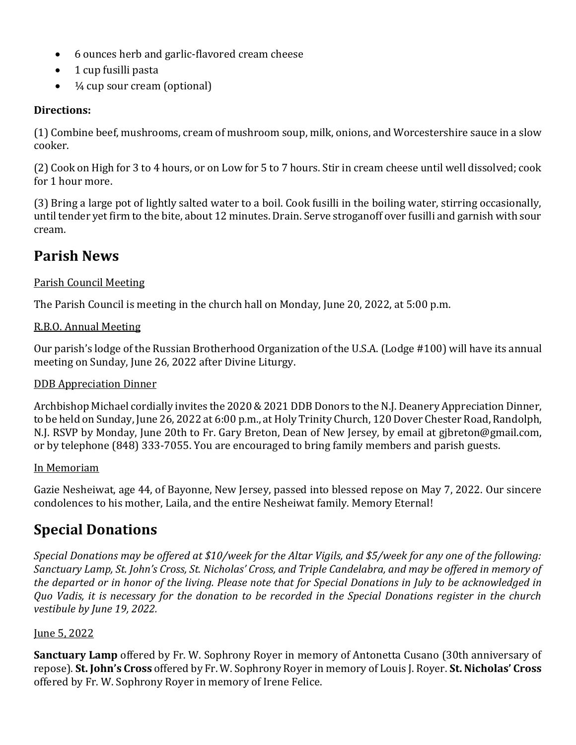- 6 ounces herb and garlic-flavored cream cheese
- 1 cup fusilli pasta
- $\bullet$   $\frac{1}{4}$  cup sour cream (optional)

#### **Directions:**

(1) Combine beef, mushrooms, cream of mushroom soup, milk, onions, and Worcestershire sauce in a slow cooker.

(2) Cook on High for 3 to 4 hours, or on Low for 5 to 7 hours. Stir in cream cheese until well dissolved; cook for 1 hour more.

(3) Bring a large pot of lightly salted water to a boil. Cook fusilli in the boiling water, stirring occasionally, until tender yet firm to the bite, about 12 minutes. Drain. Serve stroganoff over fusilli and garnish with sour cream.

## **Parish News**

### Parish Council Meeting

The Parish Council is meeting in the church hall on Monday, June 20, 2022, at 5:00 p.m.

#### R.B.O. Annual Meeting

Our parish's lodge of the Russian Brotherhood Organization of the U.S.A. (Lodge #100) will have its annual meeting on Sunday, June 26, 2022 after Divine Liturgy.

#### DDB Appreciation Dinner

Archbishop Michael cordially invites the 2020 & 2021 DDB Donors to the N.J. Deanery Appreciation Dinner, to be held on Sunday, June 26, 2022 at 6:00 p.m., at Holy Trinity Church, 120 Dover Chester Road, Randolph, N.J. RSVP by Monday, June 20th to Fr. Gary Breton, Dean of New Jersey, by email at gjbreton@gmail.com, or by telephone (848) 333-7055. You are encouraged to bring family members and parish guests.

#### In Memoriam

Gazie Nesheiwat, age 44, of Bayonne, New Jersey, passed into blessed repose on May 7, 2022. Our sincere condolences to his mother, Laila, and the entire Nesheiwat family. Memory Eternal!

## **Special Donations**

*Special Donations may be offered at \$10/week for the Altar Vigils, and \$5/week for any one of the following: Sanctuary Lamp, St. John's Cross, St. Nicholas' Cross, and Triple Candelabra, and may be offered in memory of the departed or in honor of the living. Please note that for Special Donations in July to be acknowledged in Quo Vadis, it is necessary for the donation to be recorded in the Special Donations register in the church vestibule by June 19, 2022.*

#### June 5, 2022

**Sanctuary Lamp** offered by Fr. W. Sophrony Royer in memory of Antonetta Cusano (30th anniversary of repose). **St. John's Cross** offered by Fr. W. Sophrony Royer in memory of Louis J. Royer. **St. Nicholas' Cross** offered by Fr. W. Sophrony Royer in memory of Irene Felice.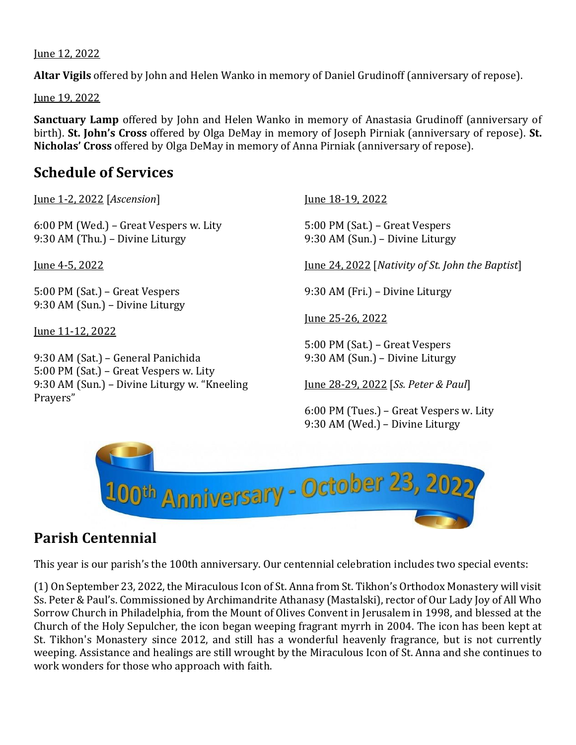#### June 12, 2022

**Altar Vigils** offered by John and Helen Wanko in memory of Daniel Grudinoff (anniversary of repose).

June 19, 2022

**Sanctuary Lamp** offered by John and Helen Wanko in memory of Anastasia Grudinoff (anniversary of birth). **St. John's Cross** offered by Olga DeMay in memory of Joseph Pirniak (anniversary of repose). **St. Nicholas' Cross** offered by Olga DeMay in memory of Anna Pirniak (anniversary of repose).

## **Schedule of Services**

June 1-2, 2022 [*Ascension*] June 18-19, 2022

6:00 PM (Wed.) – Great Vespers w. Lity 5:00 PM (Sat.) – Great Vespers 9:30 AM (Thu.) – Divine Liturgy 9:30 AM (Sun.) – Divine Liturgy

5:00 PM (Sat.) – Great Vespers 9:30 AM (Fri.) – Divine Liturgy 9:30 AM (Sun.) – Divine Liturgy

June 11-12, 2022

9:30 AM (Sat.) – General Panichida 9:30 AM (Sun.) – Divine Liturgy 5:00 PM (Sat.) – Great Vespers w. Lity 9:30 AM (Sun.) – Divine Liturgy w. "Kneeling June 28-29, 2022 [*Ss. Peter & Paul*] Prayers"

June 4-5, 2022 June 24, 2022 [*Nativity of St. John the Baptist*]

June 25-26, 2022

5:00 PM (Sat.) – Great Vespers

6:00 PM (Tues.) – Great Vespers w. Lity 9:30 AM (Wed.) – Divine Liturgy



## **Parish Centennial**

This year is our parish's the 100th anniversary. Our centennial celebration includes two special events:

(1) On September 23, 2022, the Miraculous Icon of St. Anna from St. Tikhon's Orthodox Monastery will visit Ss. Peter & Paul's. Commissioned by Archimandrite Athanasy (Mastalski), rector of Our Lady Joy of All Who Sorrow Church in Philadelphia, from the Mount of Olives Convent in Jerusalem in 1998, and blessed at the Church of the Holy Sepulcher, the icon began weeping fragrant myrrh in 2004. The icon has been kept at St. Tikhon's Monastery since 2012, and still has a wonderful heavenly fragrance, but is not currently weeping. Assistance and healings are still wrought by the Miraculous Icon of St. Anna and she continues to work wonders for those who approach with faith.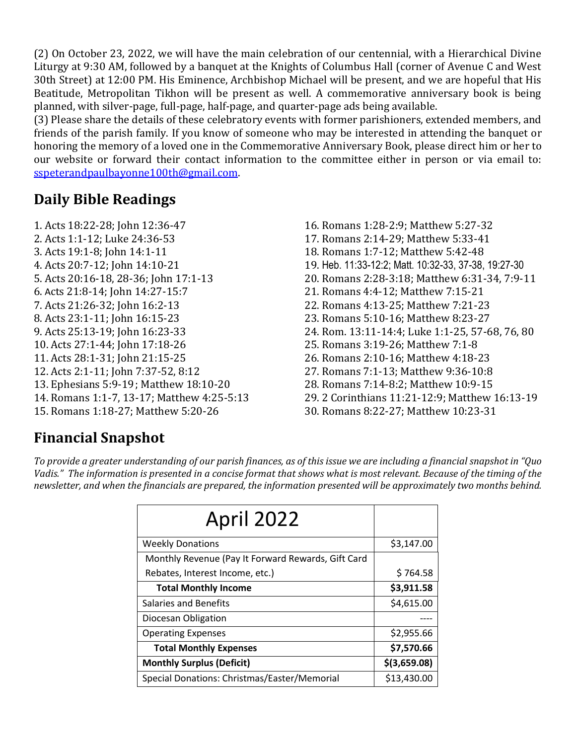(2) On October 23, 2022, we will have the main celebration of our centennial, with a Hierarchical Divine Liturgy at 9:30 AM, followed by a banquet at the Knights of Columbus Hall (corner of Avenue C and West 30th Street) at 12:00 PM. His Eminence, Archbishop Michael will be present, and we are hopeful that His Beatitude, Metropolitan Tikhon will be present as well. A commemorative anniversary book is being planned, with silver-page, full-page, half-page, and quarter-page ads being available.

(3) Please share the details of these celebratory events with former parishioners, extended members, and friends of the parish family. If you know of someone who may be interested in attending the banquet or honoring the memory of a loved one in the Commemorative Anniversary Book, please direct him or her to our website or forward their contact information to the committee either in person or via email to: sspeterandpaulbayonne100th@gmail.com.

# **Daily Bible Readings**

- 1. Acts 18:22-28; John 12:36-47 16. Romans 1:28-2:9; Matthew 5:27-32 2. Acts 1:1-12; Luke 24:36-53 17. Romans 2:14-29; Matthew 5:33-41 3. Acts 19:1-8; John 14:1-11 18. Romans 1:7-12; Matthew 5:42-48 6. Acts 21:8-14; John 14:27-15:7 21. Romans 4:4-12; Matthew 7:15-21 7. Acts 21:26-32; John 16:2-13 22. Romans 4:13-25; Matthew 7:21-23 8. Acts 23:1-11; John 16:15-23 23. Romans 5:10-16; Matthew 8:23-27 10. Acts 27:1-44; John 17:18-26 25. Romans 3:19-26; Matthew 7:1-8 11. Acts 28:1-31; John 21:15-25 26. Romans 2:10-16; Matthew 4:18-23 12. Acts 2:1-11; John 7:37-52, 8:12 27. Romans 7:1-13; Matthew 9:36-10:8 13. Ephesians 5:9-19; Matthew 18:10-20 28. Romans 7:14-8:2; Matthew 10:9-15 15. Romans 1:18-27; Matthew 5:20-26 30. Romans 8:22-27; Matthew 10:23-31
- 4. Acts 20:7-12; John 14:10-21 19. Heb. 11:33-12:2; Matt. 10:32-33, 37-38, 19:27-30 5. Acts 20:16-18, 28-36; John 17:1-13 20. Romans 2:28-3:18; Matthew 6:31-34, 7:9-11 9. Acts 25:13-19; John 16:23-33 24. Rom. 13:11-14:4; Luke 1:1-25, 57-68, 76, 80 14. Romans 1:1-7, 13-17; Matthew 4:25-5:13 29. 2 Corinthians 11:21-12:9; Matthew 16:13-19

# **Financial Snapshot**

*To provide a greater understanding of our parish finances, as of this issue we are including a financial snapshot in "Quo*  Vadis." The information is presented in a concise format that shows what is most relevant. Because of the timing of the *newsletter, and when the financials are prepared, the information presented will be approximately two months behind.*

| April 2022                                         |                |
|----------------------------------------------------|----------------|
| <b>Weekly Donations</b>                            | \$3,147.00     |
| Monthly Revenue (Pay It Forward Rewards, Gift Card |                |
| Rebates, Interest Income, etc.)                    | \$764.58       |
| <b>Total Monthly Income</b>                        | \$3,911.58     |
| Salaries and Benefits                              | \$4,615.00     |
| Diocesan Obligation                                |                |
| <b>Operating Expenses</b>                          | \$2,955.66     |
| <b>Total Monthly Expenses</b>                      | \$7,570.66     |
| <b>Monthly Surplus (Deficit)</b>                   | $$$ (3,659.08) |
| Special Donations: Christmas/Easter/Memorial       | \$13,430.00    |